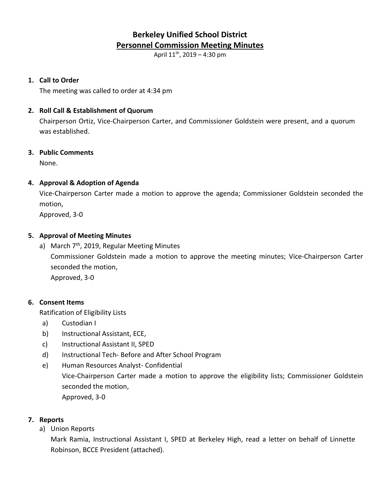# **Berkeley Unified School District Personnel Commission Meeting Minutes**

April  $11^{th}$ , 2019 – 4:30 pm

#### **1. Call to Order**

The meeting was called to order at 4:34 pm

#### **2. Roll Call & Establishment of Quorum**

Chairperson Ortiz, Vice-Chairperson Carter, and Commissioner Goldstein were present, and a quorum was established.

#### **3. Public Comments**

None.

## **4. Approval & Adoption of Agenda**

Vice-Chairperson Carter made a motion to approve the agenda; Commissioner Goldstein seconded the motion,

Approved, 3-0

## **5. Approval of Meeting Minutes**

a) March  $7<sup>th</sup>$ , 2019, Regular Meeting Minutes Commissioner Goldstein made a motion to approve the meeting minutes; Vice-Chairperson Carter seconded the motion, Approved, 3-0

## **6. Consent Items**

Ratification of Eligibility Lists

- a) Custodian I
- b) Instructional Assistant, ECE,
- c) Instructional Assistant II, SPED
- d) Instructional Tech- Before and After School Program
- e) Human Resources Analyst- Confidential Vice-Chairperson Carter made a motion to approve the eligibility lists; Commissioner Goldstein seconded the motion, Approved, 3-0

## **7. Reports**

a) Union Reports

Mark Ramia, Instructional Assistant I, SPED at Berkeley High, read a letter on behalf of Linnette Robinson, BCCE President (attached).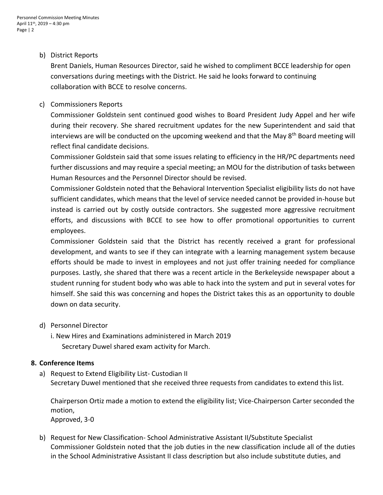#### b) District Reports

Brent Daniels, Human Resources Director, said he wished to compliment BCCE leadership for open conversations during meetings with the District. He said he looks forward to continuing collaboration with BCCE to resolve concerns.

#### c) Commissioners Reports

Commissioner Goldstein sent continued good wishes to Board President Judy Appel and her wife during their recovery. She shared recruitment updates for the new Superintendent and said that interviews are will be conducted on the upcoming weekend and that the May 8<sup>th</sup> Board meeting will reflect final candidate decisions.

Commissioner Goldstein said that some issues relating to efficiency in the HR/PC departments need further discussions and may require a special meeting; an MOU for the distribution of tasks between Human Resources and the Personnel Director should be revised.

Commissioner Goldstein noted that the Behavioral Intervention Specialist eligibility lists do not have sufficient candidates, which means that the level of service needed cannot be provided in-house but instead is carried out by costly outside contractors. She suggested more aggressive recruitment efforts, and discussions with BCCE to see how to offer promotional opportunities to current employees.

Commissioner Goldstein said that the District has recently received a grant for professional development, and wants to see if they can integrate with a learning management system because efforts should be made to invest in employees and not just offer training needed for compliance purposes. Lastly, she shared that there was a recent article in the Berkeleyside newspaper about a student running for student body who was able to hack into the system and put in several votes for himself. She said this was concerning and hopes the District takes this as an opportunity to double down on data security.

#### d) Personnel Director

i. New Hires and Examinations administered in March 2019 Secretary Duwel shared exam activity for March.

#### **8. Conference Items**

a) Request to Extend Eligibility List- Custodian II Secretary Duwel mentioned that she received three requests from candidates to extend this list.

Chairperson Ortiz made a motion to extend the eligibility list; Vice-Chairperson Carter seconded the motion, Approved, 3-0

b) Request for New Classification- School Administrative Assistant II/Substitute Specialist Commissioner Goldstein noted that the job duties in the new classification include all of the duties in the School Administrative Assistant II class description but also include substitute duties, and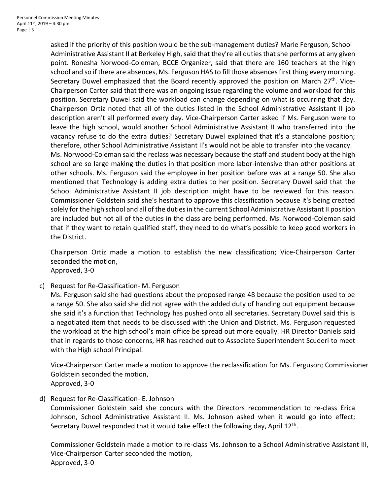asked if the priority of this position would be the sub-management duties? Marie Ferguson, School Administrative Assistant II at Berkeley High, said that they're all duties that she performs at any given point. Ronesha Norwood-Coleman, BCCE Organizer, said that there are 160 teachers at the high school and so if there are absences, Ms. Ferguson HAS to fill those absences first thing every morning. Secretary Duwel emphasized that the Board recently approved the position on March  $27<sup>th</sup>$ . Vice-Chairperson Carter said that there was an ongoing issue regarding the volume and workload for this position. Secretary Duwel said the workload can change depending on what is occurring that day. Chairperson Ortiz noted that all of the duties listed in the School Administrative Assistant II job description aren't all performed every day. Vice-Chairperson Carter asked if Ms. Ferguson were to leave the high school, would another School Administrative Assistant II who transferred into the vacancy refuse to do the extra duties? Secretary Duwel explained that it's a standalone position; therefore, other School Administrative Assistant II's would not be able to transfer into the vacancy. Ms. Norwood-Coleman said the reclass was necessary because the staff and student body at the high school are so large making the duties in that position more labor-intensive than other positions at other schools. Ms. Ferguson said the employee in her position before was at a range 50. She also mentioned that Technology is adding extra duties to her position. Secretary Duwel said that the School Administrative Assistant II job description might have to be reviewed for this reason. Commissioner Goldstein said she's hesitant to approve this classification because it's being created solely for the high school and all of the duties in the current School Administrative Assistant II position are included but not all of the duties in the class are being performed. Ms. Norwood-Coleman said that if they want to retain qualified staff, they need to do what's possible to keep good workers in

Chairperson Ortiz made a motion to establish the new classification; Vice-Chairperson Carter seconded the motion, Approved, 3-0

c) Request for Re-Classification- M. Ferguson

the District.

Ms. Ferguson said she had questions about the proposed range 48 because the position used to be a range 50. She also said she did not agree with the added duty of handing out equipment because she said it's a function that Technology has pushed onto all secretaries. Secretary Duwel said this is a negotiated item that needs to be discussed with the Union and District. Ms. Ferguson requested the workload at the high school's main office be spread out more equally. HR Director Daniels said that in regards to those concerns, HR has reached out to Associate Superintendent Scuderi to meet with the High school Principal.

Vice-Chairperson Carter made a motion to approve the reclassification for Ms. Ferguson; Commissioner Goldstein seconded the motion, Approved, 3-0

d) Request for Re-Classification- E. Johnson

Commissioner Goldstein said she concurs with the Directors recommendation to re-class Erica Johnson, School Administrative Assistant II. Ms. Johnson asked when it would go into effect; Secretary Duwel responded that it would take effect the following day, April 12<sup>th</sup>.

Commissioner Goldstein made a motion to re-class Ms. Johnson to a School Administrative Assistant III, Vice-Chairperson Carter seconded the motion, Approved, 3-0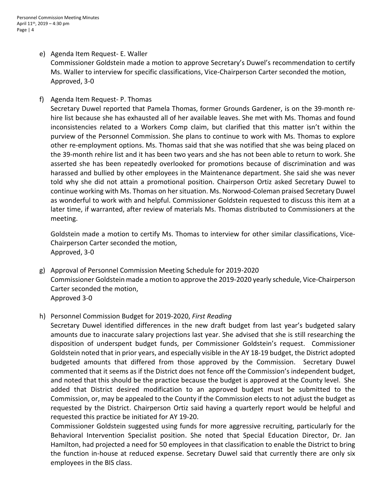- e) Agenda Item Request- E. Waller Commissioner Goldstein made a motion to approve Secretary's Duwel's recommendation to certify Ms. Waller to interview for specific classifications, Vice-Chairperson Carter seconded the motion, Approved, 3-0
- f) Agenda Item Request- P. Thomas

Secretary Duwel reported that Pamela Thomas, former Grounds Gardener, is on the 39-month rehire list because she has exhausted all of her available leaves. She met with Ms. Thomas and found inconsistencies related to a Workers Comp claim, but clarified that this matter isn't within the purview of the Personnel Commission. She plans to continue to work with Ms. Thomas to explore other re-employment options. Ms. Thomas said that she was notified that she was being placed on the 39-month rehire list and it has been two years and she has not been able to return to work. She asserted she has been repeatedly overlooked for promotions because of discrimination and was harassed and bullied by other employees in the Maintenance department. She said she was never told why she did not attain a promotional position. Chairperson Ortiz asked Secretary Duwel to continue working with Ms. Thomas on her situation. Ms. Norwood-Coleman praised Secretary Duwel as wonderful to work with and helpful. Commissioner Goldstein requested to discuss this item at a later time, if warranted, after review of materials Ms. Thomas distributed to Commissioners at the meeting.

Goldstein made a motion to certify Ms. Thomas to interview for other similar classifications, Vice-Chairperson Carter seconded the motion, Approved, 3-0

- g) Approval of Personnel Commission Meeting Schedule for 2019-2020 Commissioner Goldstein made a motion to approve the 2019-2020 yearly schedule, Vice-Chairperson Carter seconded the motion, Approved 3-0
- h) Personnel Commission Budget for 2019-2020, *First Reading*

Secretary Duwel identified differences in the new draft budget from last year's budgeted salary amounts due to inaccurate salary projections last year. She advised that she is still researching the disposition of underspent budget funds, per Commissioner Goldstein's request. Commissioner Goldstein noted that in prior years, and especially visible in the AY 18-19 budget, the District adopted budgeted amounts that differed from those approved by the Commission. Secretary Duwel commented that it seems as if the District does not fence off the Commission's independent budget, and noted that this should be the practice because the budget is approved at the County level. She added that District desired modification to an approved budget must be submitted to the Commission, or, may be appealed to the County if the Commission elects to not adjust the budget as requested by the District. Chairperson Ortiz said having a quarterly report would be helpful and requested this practice be initiated for AY 19-20.

Commissioner Goldstein suggested using funds for more aggressive recruiting, particularly for the Behavioral Intervention Specialist position. She noted that Special Education Director, Dr. Jan Hamilton, had projected a need for 50 employees in that classification to enable the District to bring the function in-house at reduced expense. Secretary Duwel said that currently there are only six employees in the BIS class.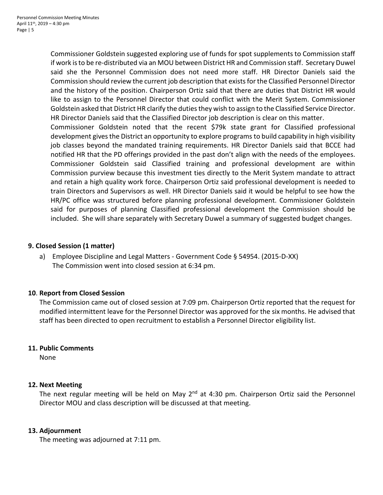Commissioner Goldstein suggested exploring use of funds for spot supplements to Commission staff if work is to be re-distributed via an MOU between District HR and Commission staff. Secretary Duwel said she the Personnel Commission does not need more staff. HR Director Daniels said the Commission should review the current job description that existsfor the Classified Personnel Director and the history of the position. Chairperson Ortiz said that there are duties that District HR would like to assign to the Personnel Director that could conflict with the Merit System. Commissioner Goldstein asked that District HR clarify the duties they wish to assign to the Classified Service Director. HR Director Daniels said that the Classified Director job description is clear on this matter.

Commissioner Goldstein noted that the recent \$79k state grant for Classified professional development gives the District an opportunity to explore programs to build capability in high visibility job classes beyond the mandated training requirements. HR Director Daniels said that BCCE had notified HR that the PD offerings provided in the past don't align with the needs of the employees. Commissioner Goldstein said Classified training and professional development are within Commission purview because this investment ties directly to the Merit System mandate to attract and retain a high quality work force. Chairperson Ortiz said professional development is needed to train Directors and Supervisors as well. HR Director Daniels said it would be helpful to see how the HR/PC office was structured before planning professional development. Commissioner Goldstein said for purposes of planning Classified professional development the Commission should be included. She will share separately with Secretary Duwel a summary of suggested budget changes.

#### **9. Closed Session (1 matter)**

a) Employee Discipline and Legal Matters - Government Code § 54954. (2015-D-XX) The Commission went into closed session at 6:34 pm.

## **10**. **Report from Closed Session**

The Commission came out of closed session at 7:09 pm. Chairperson Ortiz reported that the request for modified intermittent leave for the Personnel Director was approved for the six months. He advised that staff has been directed to open recruitment to establish a Personnel Director eligibility list.

#### **11. Public Comments**

None

#### **12. Next Meeting**

The next regular meeting will be held on May  $2^{nd}$  at 4:30 pm. Chairperson Ortiz said the Personnel Director MOU and class description will be discussed at that meeting.

#### **13. Adjournment**

The meeting was adjourned at 7:11 pm.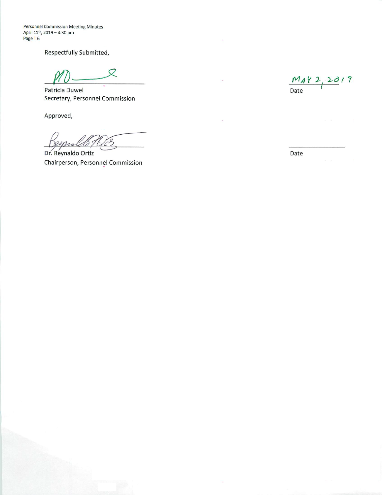Personnel Commission Meeting Minutes April 11<sup>th</sup>, 2019 - 4:30 pm Page | 6

Respectfully Submitted,

 $\varnothing$ 

Patricia Duwel Secretary, Personnel Commission

Approved,

Dr. Reynaldo Ortiz Chairperson, Personnel Commission

 $\frac{M_A Y 2, 2019}{\text{Date}}$ 

Date

i,